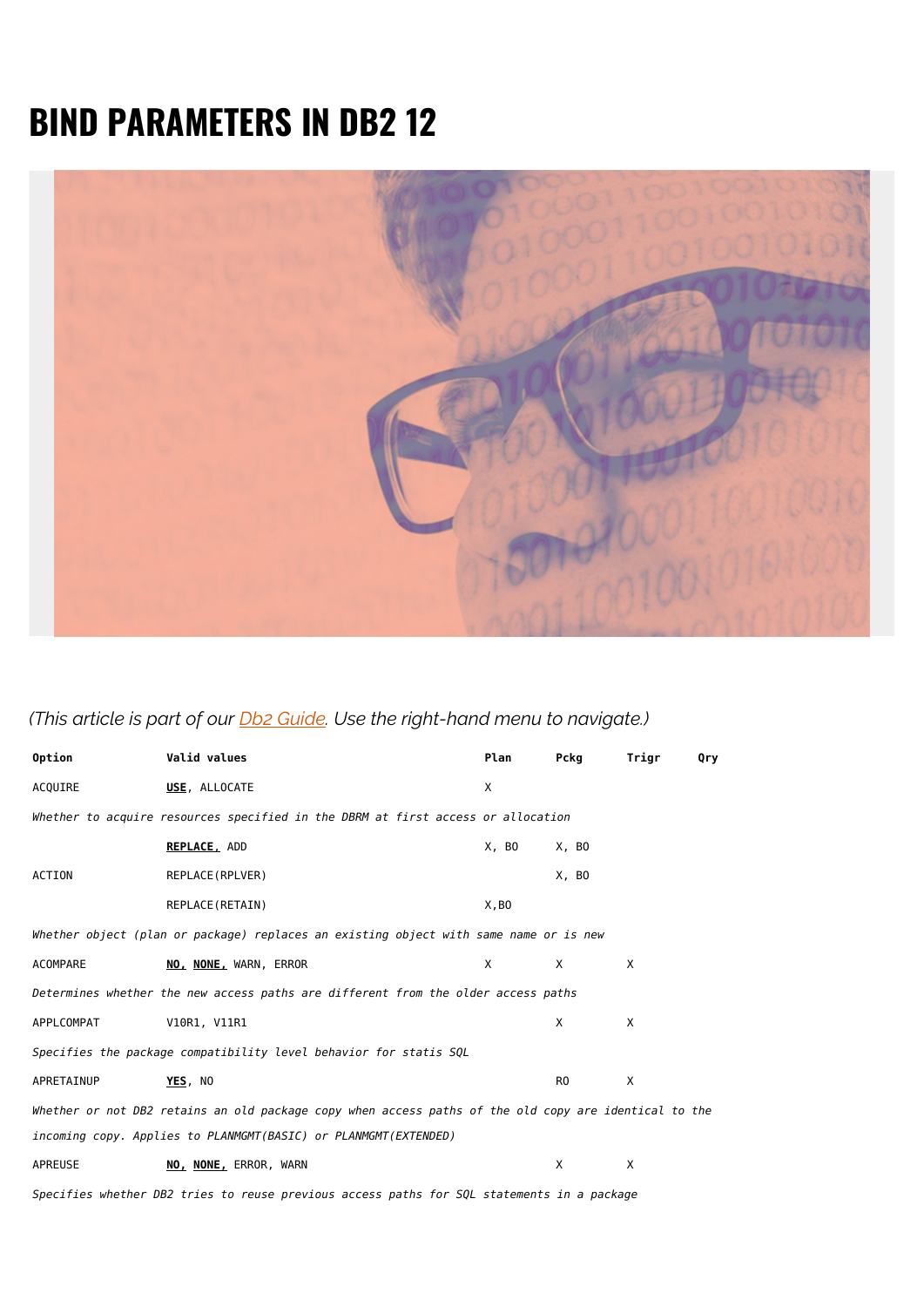## **BIND PARAMETERS IN DB2 12**



*(This article is part of our [Db2 Guide.](https://blogs.bmc.com/blogs/db2-introduction/) Use the right-hand menu to navigate.)*

| Option                                                                                                | Valid values                                                                          | Plan  | Pckg           | Trigr | Qry |  |  |
|-------------------------------------------------------------------------------------------------------|---------------------------------------------------------------------------------------|-------|----------------|-------|-----|--|--|
| ACQUIRE                                                                                               | USE, ALLOCATE                                                                         | X     |                |       |     |  |  |
| Whether to acquire resources specified in the DBRM at first access or allocation                      |                                                                                       |       |                |       |     |  |  |
|                                                                                                       | <b>REPLACE, ADD</b>                                                                   | X, BO | X, BO          |       |     |  |  |
| ACTION                                                                                                | REPLACE (RPLVER)                                                                      |       | X, BO          |       |     |  |  |
|                                                                                                       | REPLACE (RETAIN)                                                                      | X, B0 |                |       |     |  |  |
|                                                                                                       | Whether object (plan or package) replaces an existing object with same name or is new |       |                |       |     |  |  |
| ACOMPARE                                                                                              | NO, NONE, WARN, ERROR                                                                 | X     | X              | X     |     |  |  |
| Determines whether the new access paths are different from the older access paths                     |                                                                                       |       |                |       |     |  |  |
| APPLCOMPAT                                                                                            | V10R1, V11R1                                                                          |       | X              | X     |     |  |  |
| Specifies the package compatibility level behavior for statis SQL                                     |                                                                                       |       |                |       |     |  |  |
| APRETAINUP                                                                                            | YES, NO                                                                               |       | R <sub>0</sub> | X     |     |  |  |
| Whether or not DB2 retains an old package copy when access paths of the old copy are identical to the |                                                                                       |       |                |       |     |  |  |
| incoming copy. Applies to PLANMGMT(BASIC) or PLANMGMT(EXTENDED)                                       |                                                                                       |       |                |       |     |  |  |
| APREUSE                                                                                               | NO, NONE, ERROR, WARN                                                                 |       | X              | X     |     |  |  |
| Specifies whether DB2 tries to reuse previous access paths for SQL statements in a package            |                                                                                       |       |                |       |     |  |  |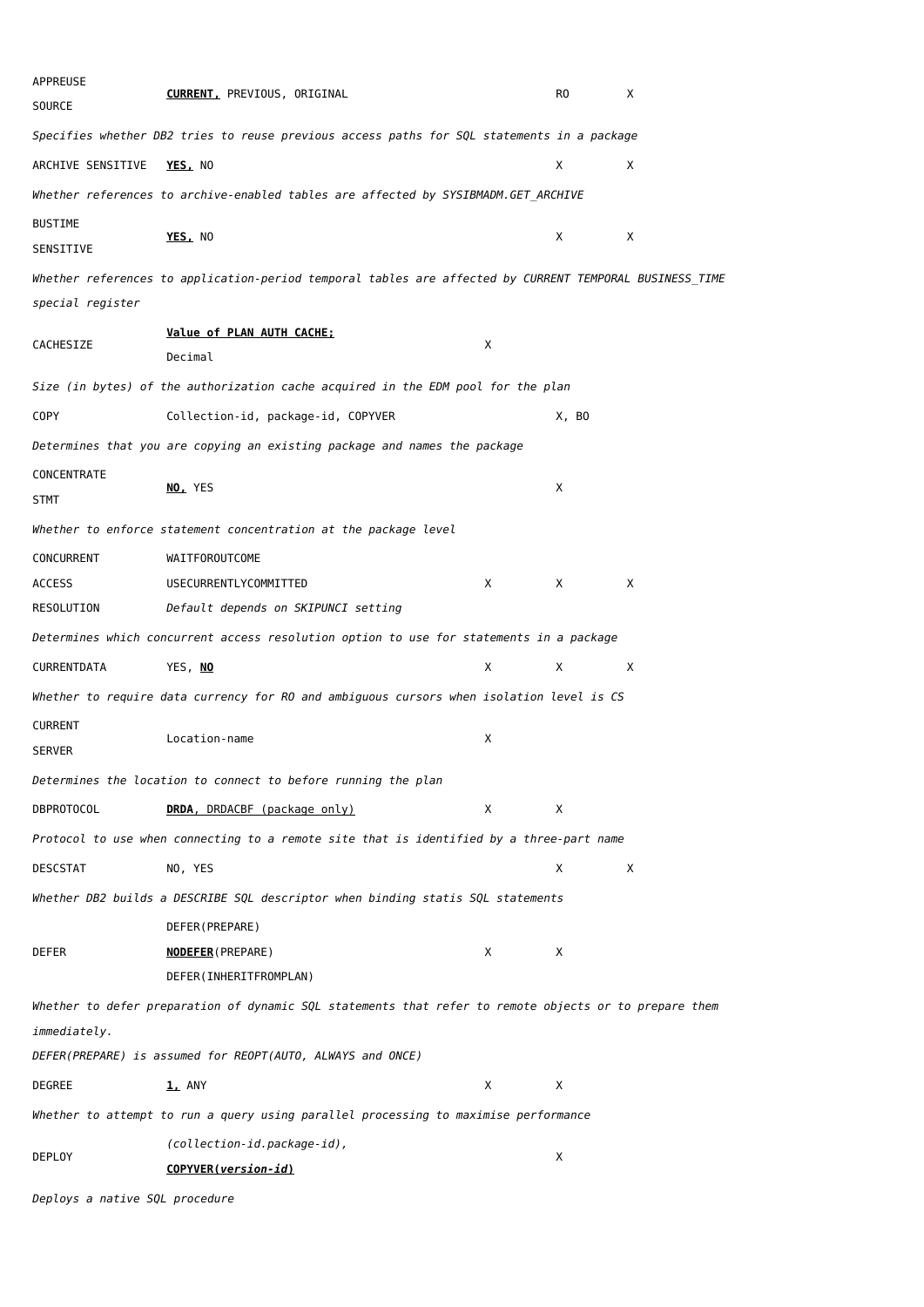| APPREUSE<br>SOURCE              | <b>CURRENT, PREVIOUS, ORIGINAL</b>                                                                      |   | R0    | X |
|---------------------------------|---------------------------------------------------------------------------------------------------------|---|-------|---|
|                                 | Specifies whether DB2 tries to reuse previous access paths for SQL statements in a package              |   |       |   |
| ARCHIVE SENSITIVE               | YES, NO                                                                                                 |   | Χ     | X |
|                                 | Whether references to archive-enabled tables are affected by SYSIBMADM.GET_ARCHIVE                      |   |       |   |
| <b>BUSTIME</b><br>SENSITIVE     | YES, NO                                                                                                 |   | Χ     | X |
|                                 | Whether references to application-period temporal tables are affected by CURRENT TEMPORAL BUSINESS TIME |   |       |   |
| special register                |                                                                                                         |   |       |   |
| CACHESIZE                       | Value of PLAN AUTH CACHE;<br>Decimal                                                                    | Χ |       |   |
|                                 | Size (in bytes) of the authorization cache acquired in the EDM pool for the plan                        |   |       |   |
| <b>COPY</b>                     | Collection-id, package-id, COPYVER                                                                      |   | X, BO |   |
|                                 | Determines that you are copying an existing package and names the package                               |   |       |   |
| CONCENTRATE<br><b>STMT</b>      | NO, YES                                                                                                 |   | X     |   |
|                                 | Whether to enforce statement concentration at the package level                                         |   |       |   |
| CONCURRENT                      | WAITFOROUTCOME                                                                                          |   |       |   |
| <b>ACCESS</b>                   | USECURRENTLYCOMMITTED                                                                                   | Χ | Χ     | Χ |
| RESOLUTION                      | Default depends on SKIPUNCI setting                                                                     |   |       |   |
|                                 | Determines which concurrent access resolution option to use for statements in a package                 |   |       |   |
| CURRENTDATA                     | YES, NO                                                                                                 | Χ | Χ     | X |
|                                 | Whether to require data currency for RO and ambiguous cursors when isolation level is CS                |   |       |   |
| <b>CURRENT</b><br><b>SERVER</b> | Location-name                                                                                           | Χ |       |   |
|                                 | Determines the location to connect to before running the plan                                           |   |       |   |
| <b>DBPROTOCOL</b>               | DRDA, DRDACBF (package only)                                                                            | Χ | Χ     |   |
|                                 | Protocol to use when connecting to a remote site that is identified by a three-part name                |   |       |   |
| DESCSTAT                        | NO, YES                                                                                                 |   | Χ     | Χ |
|                                 | Whether DB2 builds a DESCRIBE SQL descriptor when binding statis SQL statements                         |   |       |   |
|                                 | DEFER (PREPARE)                                                                                         |   |       |   |
| DEFER                           | <b>NODEFER (PREPARE)</b>                                                                                | Χ | Χ     |   |
|                                 | DEFER(INHERITFROMPLAN)                                                                                  |   |       |   |
|                                 | Whether to defer preparation of dynamic SQL statements that refer to remote objects or to prepare them  |   |       |   |
| immediately.                    |                                                                                                         |   |       |   |
|                                 | DEFER(PREPARE) is assumed for REOPT(AUTO, ALWAYS and ONCE)                                              |   |       |   |
| DEGREE                          | <b>1, ANY</b>                                                                                           | Χ | Χ     |   |
|                                 | Whether to attempt to run a query using parallel processing to maximise performance                     |   |       |   |
| <b>DEPLOY</b>                   | (collection-id.package-id),<br>COPYVER(version-id)                                                      |   | Х     |   |

*Deploys a native SQL procedure*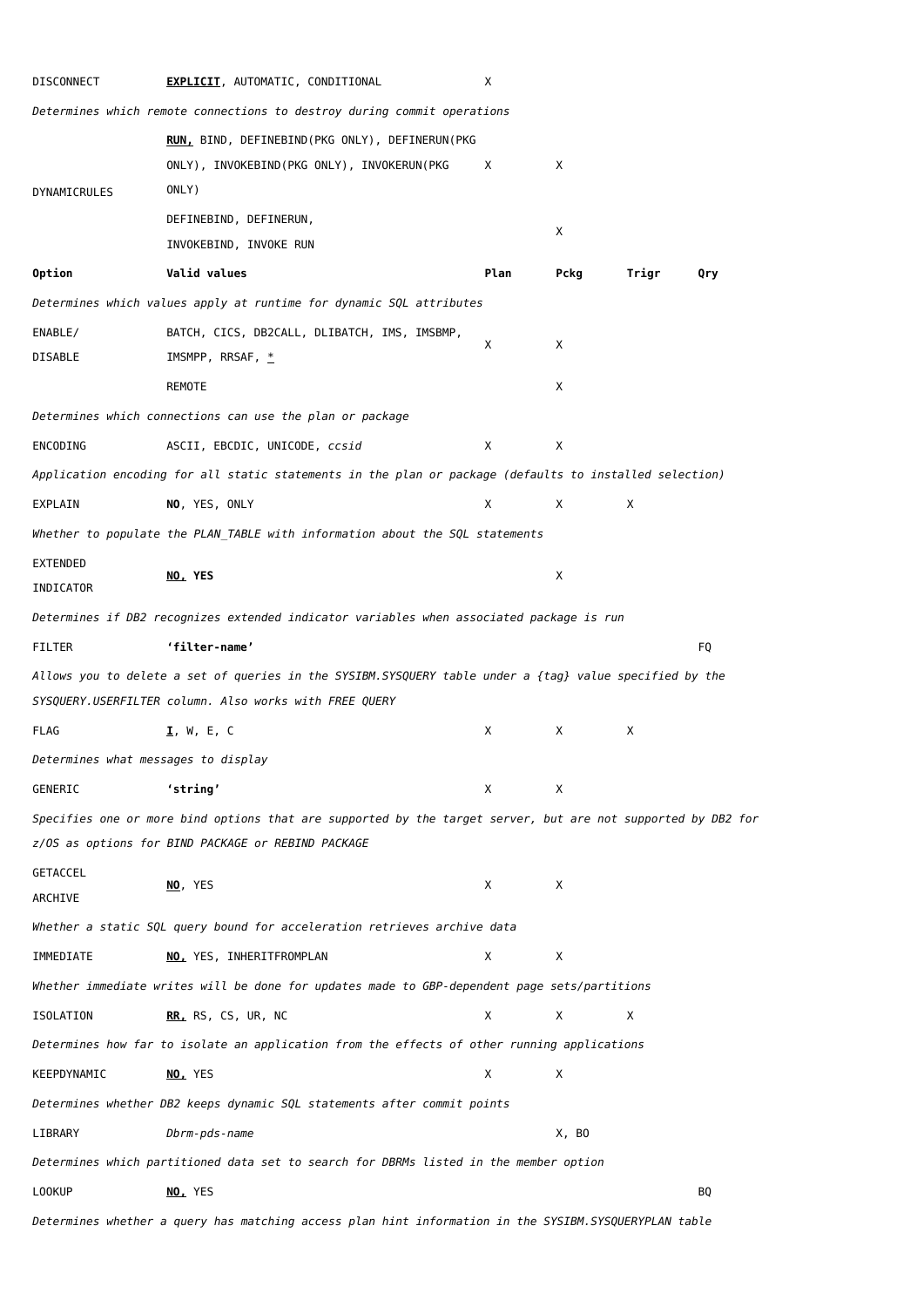| Determines which remote connections to destroy during commit operations<br>RUN, BIND, DEFINEBIND(PKG ONLY), DEFINERUN(PKG<br>ONLY), INVOKEBIND(PKG ONLY), INVOKERUN(PKG<br>Χ<br>Χ<br>ONLY)<br>DYNAMICRULES<br>DEFINEBIND, DEFINERUN,<br>Χ<br>INVOKEBIND, INVOKE RUN<br>Option<br>Valid values<br>Plan<br>Pckg<br>Trigr<br>Determines which values apply at runtime for dynamic SQL attributes<br>ENABLE/<br>BATCH, CICS, DB2CALL, DLIBATCH, IMS, IMSBMP,<br>Χ<br>X<br>DISABLE<br>IMSMPP, RRSAF, $*$<br>REMOTE<br>Χ<br>Determines which connections can use the plan or package<br>ENCODING<br>ASCII, EBCDIC, UNICODE, ccsid<br>Χ<br>Χ<br>Application encoding for all static statements in the plan or package (defaults to installed selection)<br>EXPLAIN<br>NO, YES, ONLY<br>Χ<br>Χ<br>Χ<br>Whether to populate the PLAN TABLE with information about the SQL statements<br><b>EXTENDED</b><br>X<br>NO, YES<br>INDICATOR<br>Determines if DB2 recognizes extended indicator variables when associated package is run<br><b>FILTER</b><br>'filter-name'<br>Allows you to delete a set of queries in the SYSIBM. SYSQUERY table under a {tag} value specified by the<br>SYSQUERY.USERFILTER column. Also works with FREE QUERY<br><b>FLAG</b><br>I, W, E, C<br>Χ<br>Χ<br>Χ<br>Determines what messages to display<br>'string'<br>GENERIC<br>Χ<br>Х<br>Specifies one or more bind options that are supported by the target server, but are not supported by DB2 for<br>z/OS as options for BIND PACKAGE or REBIND PACKAGE<br>GETACCEL<br>Χ<br>NO, YES<br>Χ<br>ARCHIVE<br>Whether a static SQL query bound for acceleration retrieves archive data<br>IMMEDIATE<br>NO, YES, INHERITFROMPLAN<br>Χ<br>Χ<br>Whether immediate writes will be done for updates made to GBP-dependent page sets/partitions<br>Χ<br>Χ<br><b>ISOLATION</b><br>RR, RS, CS, UR, NC<br>Χ<br>Determines how far to isolate an application from the effects of other running applications<br>KEEPDYNAMIC<br>Х<br>Χ<br>NO, YES<br>Determines whether DB2 keeps dynamic SQL statements after commit points<br>LIBRARY<br>Dbrm-pds-name<br>X, BO<br>Determines which partitioned data set to search for DBRMs listed in the member option<br>NO, YES<br>L00KUP<br>Determines whether a query has matching access plan hint information in the SYSIBM.SYSQUERYPLAN table | DISCONNECT | <b>EXPLICIT</b> , AUTOMATIC, CONDITIONAL | Х |  |     |
|-----------------------------------------------------------------------------------------------------------------------------------------------------------------------------------------------------------------------------------------------------------------------------------------------------------------------------------------------------------------------------------------------------------------------------------------------------------------------------------------------------------------------------------------------------------------------------------------------------------------------------------------------------------------------------------------------------------------------------------------------------------------------------------------------------------------------------------------------------------------------------------------------------------------------------------------------------------------------------------------------------------------------------------------------------------------------------------------------------------------------------------------------------------------------------------------------------------------------------------------------------------------------------------------------------------------------------------------------------------------------------------------------------------------------------------------------------------------------------------------------------------------------------------------------------------------------------------------------------------------------------------------------------------------------------------------------------------------------------------------------------------------------------------------------------------------------------------------------------------------------------------------------------------------------------------------------------------------------------------------------------------------------------------------------------------------------------------------------------------------------------------------------------------------------------------------------------------------------------------------------------------------------------------------------------------------------------------------|------------|------------------------------------------|---|--|-----|
|                                                                                                                                                                                                                                                                                                                                                                                                                                                                                                                                                                                                                                                                                                                                                                                                                                                                                                                                                                                                                                                                                                                                                                                                                                                                                                                                                                                                                                                                                                                                                                                                                                                                                                                                                                                                                                                                                                                                                                                                                                                                                                                                                                                                                                                                                                                                         |            |                                          |   |  |     |
|                                                                                                                                                                                                                                                                                                                                                                                                                                                                                                                                                                                                                                                                                                                                                                                                                                                                                                                                                                                                                                                                                                                                                                                                                                                                                                                                                                                                                                                                                                                                                                                                                                                                                                                                                                                                                                                                                                                                                                                                                                                                                                                                                                                                                                                                                                                                         |            |                                          |   |  |     |
|                                                                                                                                                                                                                                                                                                                                                                                                                                                                                                                                                                                                                                                                                                                                                                                                                                                                                                                                                                                                                                                                                                                                                                                                                                                                                                                                                                                                                                                                                                                                                                                                                                                                                                                                                                                                                                                                                                                                                                                                                                                                                                                                                                                                                                                                                                                                         |            |                                          |   |  |     |
|                                                                                                                                                                                                                                                                                                                                                                                                                                                                                                                                                                                                                                                                                                                                                                                                                                                                                                                                                                                                                                                                                                                                                                                                                                                                                                                                                                                                                                                                                                                                                                                                                                                                                                                                                                                                                                                                                                                                                                                                                                                                                                                                                                                                                                                                                                                                         |            |                                          |   |  |     |
|                                                                                                                                                                                                                                                                                                                                                                                                                                                                                                                                                                                                                                                                                                                                                                                                                                                                                                                                                                                                                                                                                                                                                                                                                                                                                                                                                                                                                                                                                                                                                                                                                                                                                                                                                                                                                                                                                                                                                                                                                                                                                                                                                                                                                                                                                                                                         |            |                                          |   |  |     |
|                                                                                                                                                                                                                                                                                                                                                                                                                                                                                                                                                                                                                                                                                                                                                                                                                                                                                                                                                                                                                                                                                                                                                                                                                                                                                                                                                                                                                                                                                                                                                                                                                                                                                                                                                                                                                                                                                                                                                                                                                                                                                                                                                                                                                                                                                                                                         |            |                                          |   |  |     |
|                                                                                                                                                                                                                                                                                                                                                                                                                                                                                                                                                                                                                                                                                                                                                                                                                                                                                                                                                                                                                                                                                                                                                                                                                                                                                                                                                                                                                                                                                                                                                                                                                                                                                                                                                                                                                                                                                                                                                                                                                                                                                                                                                                                                                                                                                                                                         |            |                                          |   |  | Qry |
|                                                                                                                                                                                                                                                                                                                                                                                                                                                                                                                                                                                                                                                                                                                                                                                                                                                                                                                                                                                                                                                                                                                                                                                                                                                                                                                                                                                                                                                                                                                                                                                                                                                                                                                                                                                                                                                                                                                                                                                                                                                                                                                                                                                                                                                                                                                                         |            |                                          |   |  |     |
|                                                                                                                                                                                                                                                                                                                                                                                                                                                                                                                                                                                                                                                                                                                                                                                                                                                                                                                                                                                                                                                                                                                                                                                                                                                                                                                                                                                                                                                                                                                                                                                                                                                                                                                                                                                                                                                                                                                                                                                                                                                                                                                                                                                                                                                                                                                                         |            |                                          |   |  |     |
|                                                                                                                                                                                                                                                                                                                                                                                                                                                                                                                                                                                                                                                                                                                                                                                                                                                                                                                                                                                                                                                                                                                                                                                                                                                                                                                                                                                                                                                                                                                                                                                                                                                                                                                                                                                                                                                                                                                                                                                                                                                                                                                                                                                                                                                                                                                                         |            |                                          |   |  |     |
|                                                                                                                                                                                                                                                                                                                                                                                                                                                                                                                                                                                                                                                                                                                                                                                                                                                                                                                                                                                                                                                                                                                                                                                                                                                                                                                                                                                                                                                                                                                                                                                                                                                                                                                                                                                                                                                                                                                                                                                                                                                                                                                                                                                                                                                                                                                                         |            |                                          |   |  |     |
|                                                                                                                                                                                                                                                                                                                                                                                                                                                                                                                                                                                                                                                                                                                                                                                                                                                                                                                                                                                                                                                                                                                                                                                                                                                                                                                                                                                                                                                                                                                                                                                                                                                                                                                                                                                                                                                                                                                                                                                                                                                                                                                                                                                                                                                                                                                                         |            |                                          |   |  |     |
|                                                                                                                                                                                                                                                                                                                                                                                                                                                                                                                                                                                                                                                                                                                                                                                                                                                                                                                                                                                                                                                                                                                                                                                                                                                                                                                                                                                                                                                                                                                                                                                                                                                                                                                                                                                                                                                                                                                                                                                                                                                                                                                                                                                                                                                                                                                                         |            |                                          |   |  |     |
|                                                                                                                                                                                                                                                                                                                                                                                                                                                                                                                                                                                                                                                                                                                                                                                                                                                                                                                                                                                                                                                                                                                                                                                                                                                                                                                                                                                                                                                                                                                                                                                                                                                                                                                                                                                                                                                                                                                                                                                                                                                                                                                                                                                                                                                                                                                                         |            |                                          |   |  |     |
|                                                                                                                                                                                                                                                                                                                                                                                                                                                                                                                                                                                                                                                                                                                                                                                                                                                                                                                                                                                                                                                                                                                                                                                                                                                                                                                                                                                                                                                                                                                                                                                                                                                                                                                                                                                                                                                                                                                                                                                                                                                                                                                                                                                                                                                                                                                                         |            |                                          |   |  |     |
|                                                                                                                                                                                                                                                                                                                                                                                                                                                                                                                                                                                                                                                                                                                                                                                                                                                                                                                                                                                                                                                                                                                                                                                                                                                                                                                                                                                                                                                                                                                                                                                                                                                                                                                                                                                                                                                                                                                                                                                                                                                                                                                                                                                                                                                                                                                                         |            |                                          |   |  |     |
|                                                                                                                                                                                                                                                                                                                                                                                                                                                                                                                                                                                                                                                                                                                                                                                                                                                                                                                                                                                                                                                                                                                                                                                                                                                                                                                                                                                                                                                                                                                                                                                                                                                                                                                                                                                                                                                                                                                                                                                                                                                                                                                                                                                                                                                                                                                                         |            |                                          |   |  |     |
|                                                                                                                                                                                                                                                                                                                                                                                                                                                                                                                                                                                                                                                                                                                                                                                                                                                                                                                                                                                                                                                                                                                                                                                                                                                                                                                                                                                                                                                                                                                                                                                                                                                                                                                                                                                                                                                                                                                                                                                                                                                                                                                                                                                                                                                                                                                                         |            |                                          |   |  |     |
|                                                                                                                                                                                                                                                                                                                                                                                                                                                                                                                                                                                                                                                                                                                                                                                                                                                                                                                                                                                                                                                                                                                                                                                                                                                                                                                                                                                                                                                                                                                                                                                                                                                                                                                                                                                                                                                                                                                                                                                                                                                                                                                                                                                                                                                                                                                                         |            |                                          |   |  |     |
|                                                                                                                                                                                                                                                                                                                                                                                                                                                                                                                                                                                                                                                                                                                                                                                                                                                                                                                                                                                                                                                                                                                                                                                                                                                                                                                                                                                                                                                                                                                                                                                                                                                                                                                                                                                                                                                                                                                                                                                                                                                                                                                                                                                                                                                                                                                                         |            |                                          |   |  | FQ  |
|                                                                                                                                                                                                                                                                                                                                                                                                                                                                                                                                                                                                                                                                                                                                                                                                                                                                                                                                                                                                                                                                                                                                                                                                                                                                                                                                                                                                                                                                                                                                                                                                                                                                                                                                                                                                                                                                                                                                                                                                                                                                                                                                                                                                                                                                                                                                         |            |                                          |   |  |     |
|                                                                                                                                                                                                                                                                                                                                                                                                                                                                                                                                                                                                                                                                                                                                                                                                                                                                                                                                                                                                                                                                                                                                                                                                                                                                                                                                                                                                                                                                                                                                                                                                                                                                                                                                                                                                                                                                                                                                                                                                                                                                                                                                                                                                                                                                                                                                         |            |                                          |   |  |     |
|                                                                                                                                                                                                                                                                                                                                                                                                                                                                                                                                                                                                                                                                                                                                                                                                                                                                                                                                                                                                                                                                                                                                                                                                                                                                                                                                                                                                                                                                                                                                                                                                                                                                                                                                                                                                                                                                                                                                                                                                                                                                                                                                                                                                                                                                                                                                         |            |                                          |   |  |     |
|                                                                                                                                                                                                                                                                                                                                                                                                                                                                                                                                                                                                                                                                                                                                                                                                                                                                                                                                                                                                                                                                                                                                                                                                                                                                                                                                                                                                                                                                                                                                                                                                                                                                                                                                                                                                                                                                                                                                                                                                                                                                                                                                                                                                                                                                                                                                         |            |                                          |   |  |     |
|                                                                                                                                                                                                                                                                                                                                                                                                                                                                                                                                                                                                                                                                                                                                                                                                                                                                                                                                                                                                                                                                                                                                                                                                                                                                                                                                                                                                                                                                                                                                                                                                                                                                                                                                                                                                                                                                                                                                                                                                                                                                                                                                                                                                                                                                                                                                         |            |                                          |   |  |     |
|                                                                                                                                                                                                                                                                                                                                                                                                                                                                                                                                                                                                                                                                                                                                                                                                                                                                                                                                                                                                                                                                                                                                                                                                                                                                                                                                                                                                                                                                                                                                                                                                                                                                                                                                                                                                                                                                                                                                                                                                                                                                                                                                                                                                                                                                                                                                         |            |                                          |   |  |     |
|                                                                                                                                                                                                                                                                                                                                                                                                                                                                                                                                                                                                                                                                                                                                                                                                                                                                                                                                                                                                                                                                                                                                                                                                                                                                                                                                                                                                                                                                                                                                                                                                                                                                                                                                                                                                                                                                                                                                                                                                                                                                                                                                                                                                                                                                                                                                         |            |                                          |   |  |     |
|                                                                                                                                                                                                                                                                                                                                                                                                                                                                                                                                                                                                                                                                                                                                                                                                                                                                                                                                                                                                                                                                                                                                                                                                                                                                                                                                                                                                                                                                                                                                                                                                                                                                                                                                                                                                                                                                                                                                                                                                                                                                                                                                                                                                                                                                                                                                         |            |                                          |   |  |     |
|                                                                                                                                                                                                                                                                                                                                                                                                                                                                                                                                                                                                                                                                                                                                                                                                                                                                                                                                                                                                                                                                                                                                                                                                                                                                                                                                                                                                                                                                                                                                                                                                                                                                                                                                                                                                                                                                                                                                                                                                                                                                                                                                                                                                                                                                                                                                         |            |                                          |   |  |     |
|                                                                                                                                                                                                                                                                                                                                                                                                                                                                                                                                                                                                                                                                                                                                                                                                                                                                                                                                                                                                                                                                                                                                                                                                                                                                                                                                                                                                                                                                                                                                                                                                                                                                                                                                                                                                                                                                                                                                                                                                                                                                                                                                                                                                                                                                                                                                         |            |                                          |   |  |     |
|                                                                                                                                                                                                                                                                                                                                                                                                                                                                                                                                                                                                                                                                                                                                                                                                                                                                                                                                                                                                                                                                                                                                                                                                                                                                                                                                                                                                                                                                                                                                                                                                                                                                                                                                                                                                                                                                                                                                                                                                                                                                                                                                                                                                                                                                                                                                         |            |                                          |   |  |     |
|                                                                                                                                                                                                                                                                                                                                                                                                                                                                                                                                                                                                                                                                                                                                                                                                                                                                                                                                                                                                                                                                                                                                                                                                                                                                                                                                                                                                                                                                                                                                                                                                                                                                                                                                                                                                                                                                                                                                                                                                                                                                                                                                                                                                                                                                                                                                         |            |                                          |   |  |     |
|                                                                                                                                                                                                                                                                                                                                                                                                                                                                                                                                                                                                                                                                                                                                                                                                                                                                                                                                                                                                                                                                                                                                                                                                                                                                                                                                                                                                                                                                                                                                                                                                                                                                                                                                                                                                                                                                                                                                                                                                                                                                                                                                                                                                                                                                                                                                         |            |                                          |   |  |     |
|                                                                                                                                                                                                                                                                                                                                                                                                                                                                                                                                                                                                                                                                                                                                                                                                                                                                                                                                                                                                                                                                                                                                                                                                                                                                                                                                                                                                                                                                                                                                                                                                                                                                                                                                                                                                                                                                                                                                                                                                                                                                                                                                                                                                                                                                                                                                         |            |                                          |   |  |     |
|                                                                                                                                                                                                                                                                                                                                                                                                                                                                                                                                                                                                                                                                                                                                                                                                                                                                                                                                                                                                                                                                                                                                                                                                                                                                                                                                                                                                                                                                                                                                                                                                                                                                                                                                                                                                                                                                                                                                                                                                                                                                                                                                                                                                                                                                                                                                         |            |                                          |   |  |     |
|                                                                                                                                                                                                                                                                                                                                                                                                                                                                                                                                                                                                                                                                                                                                                                                                                                                                                                                                                                                                                                                                                                                                                                                                                                                                                                                                                                                                                                                                                                                                                                                                                                                                                                                                                                                                                                                                                                                                                                                                                                                                                                                                                                                                                                                                                                                                         |            |                                          |   |  |     |
|                                                                                                                                                                                                                                                                                                                                                                                                                                                                                                                                                                                                                                                                                                                                                                                                                                                                                                                                                                                                                                                                                                                                                                                                                                                                                                                                                                                                                                                                                                                                                                                                                                                                                                                                                                                                                                                                                                                                                                                                                                                                                                                                                                                                                                                                                                                                         |            |                                          |   |  |     |
|                                                                                                                                                                                                                                                                                                                                                                                                                                                                                                                                                                                                                                                                                                                                                                                                                                                                                                                                                                                                                                                                                                                                                                                                                                                                                                                                                                                                                                                                                                                                                                                                                                                                                                                                                                                                                                                                                                                                                                                                                                                                                                                                                                                                                                                                                                                                         |            |                                          |   |  | BQ  |
|                                                                                                                                                                                                                                                                                                                                                                                                                                                                                                                                                                                                                                                                                                                                                                                                                                                                                                                                                                                                                                                                                                                                                                                                                                                                                                                                                                                                                                                                                                                                                                                                                                                                                                                                                                                                                                                                                                                                                                                                                                                                                                                                                                                                                                                                                                                                         |            |                                          |   |  |     |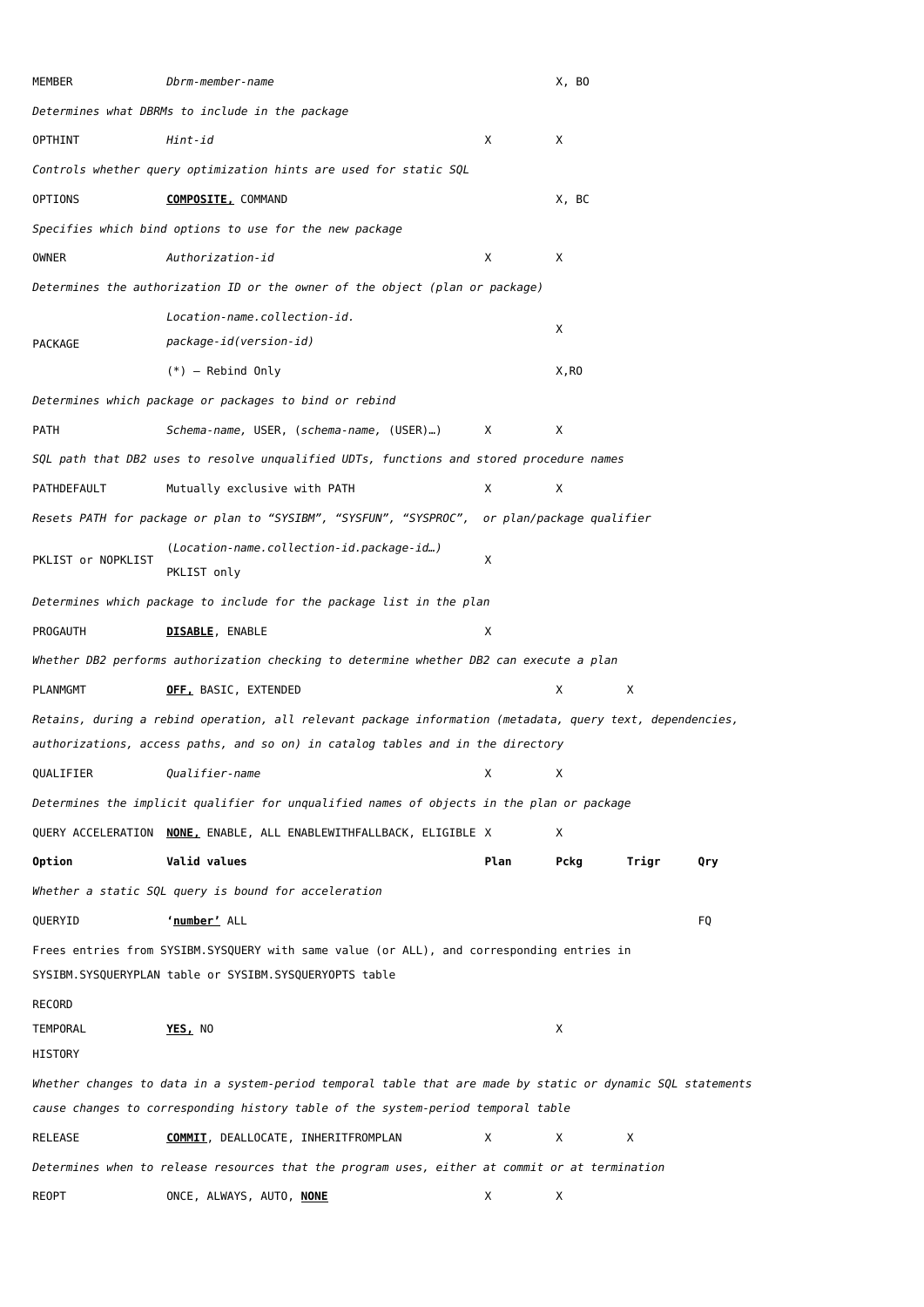| MEMBER              | Dbrm-member-name                                                                                                                                    |      | X, BO |       |     |
|---------------------|-----------------------------------------------------------------------------------------------------------------------------------------------------|------|-------|-------|-----|
|                     | Determines what DBRMs to include in the package                                                                                                     |      |       |       |     |
| OPTHINT             | Hint-id                                                                                                                                             | Χ    | Χ     |       |     |
|                     | Controls whether query optimization hints are used for static SQL                                                                                   |      |       |       |     |
| <b>OPTIONS</b>      | <b>COMPOSITE, COMMAND</b>                                                                                                                           |      | X, BC |       |     |
|                     | Specifies which bind options to use for the new package                                                                                             |      |       |       |     |
| OWNER               | Authorization-id                                                                                                                                    | Х    | Χ     |       |     |
|                     | Determines the authorization ID or the owner of the object (plan or package)                                                                        |      |       |       |     |
|                     | Location-name.collection-id.                                                                                                                        |      |       |       |     |
| PACKAGE             | package-id(version-id)                                                                                                                              |      | Х     |       |     |
|                     | $(*)$ - Rebind Only                                                                                                                                 |      | X, RO |       |     |
|                     | Determines which package or packages to bind or rebind                                                                                              |      |       |       |     |
| PATH                | Schema-name, USER, (schema-name, (USER))                                                                                                            | X    | Χ     |       |     |
|                     | SQL path that DB2 uses to resolve unqualified UDTs, functions and stored procedure names                                                            |      |       |       |     |
| PATHDEFAULT         | Mutually exclusive with PATH                                                                                                                        | X    | X     |       |     |
|                     | Resets PATH for package or plan to "SYSIBM", "SYSFUN", "SYSPROC", or plan/package qualifier                                                         |      |       |       |     |
| PKLIST or NOPKLIST  | (Location-name.collection-id.package-id)<br>PKLIST only                                                                                             | х    |       |       |     |
|                     | Determines which package to include for the package list in the plan                                                                                |      |       |       |     |
| PROGAUTH            | <b>DISABLE, ENABLE</b>                                                                                                                              | Χ    |       |       |     |
|                     | Whether DB2 performs authorization checking to determine whether DB2 can execute a plan                                                             |      |       |       |     |
| PLANMGMT            | OFF, BASIC, EXTENDED                                                                                                                                |      | Χ     | Х     |     |
|                     | Retains, during a rebind operation, all relevant package information (metadata, query text, dependencies,                                           |      |       |       |     |
|                     | authorizations, access paths, and so on) in catalog tables and in the directory                                                                     |      |       |       |     |
| QUALIFIER           | <i>Qualifier-name</i>                                                                                                                               | Χ    | X     |       |     |
|                     | Determines the implicit qualifier for unqualified names of objects in the plan or package                                                           |      |       |       |     |
|                     | QUERY ACCELERATION NONE, ENABLE, ALL ENABLEWITHFALLBACK, ELIGIBLE X                                                                                 |      | Χ     |       |     |
| <b>Option</b>       | Valid values                                                                                                                                        | Plan | Pckg  | Trigr | Qry |
|                     | Whether a static SQL query is bound for acceleration                                                                                                |      |       |       |     |
| QUERYID             | 'number' ALL                                                                                                                                        |      |       |       | FQ  |
|                     | Frees entries from SYSIBM.SYSQUERY with same value (or ALL), and corresponding entries in<br>SYSIBM.SYSQUERYPLAN table or SYSIBM.SYSQUERYOPTS table |      |       |       |     |
| <b>RECORD</b>       |                                                                                                                                                     |      |       |       |     |
| TEMPORAL<br>HISTORY | YES, NO                                                                                                                                             |      | Х     |       |     |
|                     | Whether changes to data in a system-period temporal table that are made by static or dynamic SQL statements                                         |      |       |       |     |
|                     | cause changes to corresponding history table of the system-period temporal table                                                                    |      |       |       |     |
| RELEASE             | <b>COMMIT, DEALLOCATE, INHERITFROMPLAN</b>                                                                                                          | Χ    | Х     | Х     |     |
|                     | Determines when to release resources that the program uses, either at commit or at termination                                                      |      |       |       |     |
| REOPT               | ONCE, ALWAYS, AUTO, <u>NONE</u>                                                                                                                     | X    | X     |       |     |